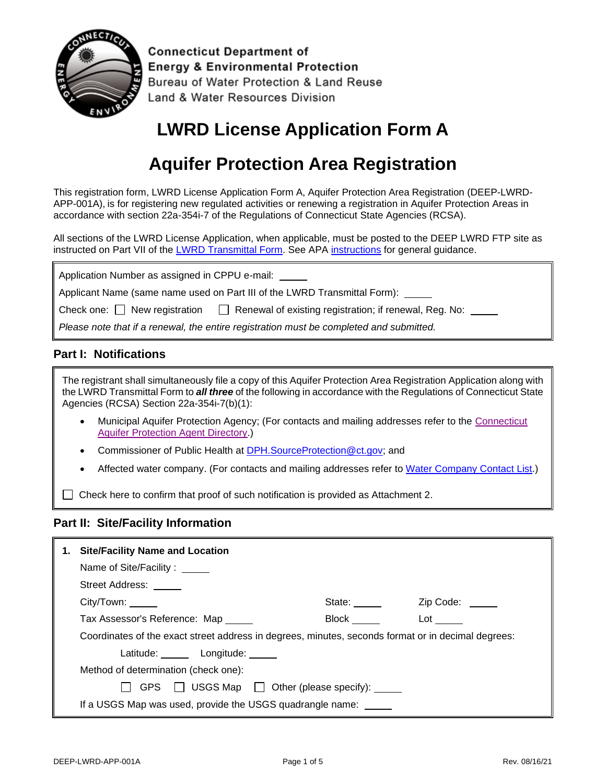

**Connecticut Department of Energy & Environmental Protection** Bureau of Water Protection & Land Reuse Land & Water Resources Division

# **LWRD License Application Form A**

## **Aquifer Protection Area Registration**

This registration form, LWRD License Application Form A, Aquifer Protection Area Registration (DEEP-LWRD-APP-001A), is for registering new regulated activities or renewing a registration in Aquifer Protection Areas in accordance with section 22a-354i-7 of the Regulations of Connecticut State Agencies (RCSA).

All sections of the LWRD License Application, when applicable, must be posted to the DEEP LWRD FTP site as instructed on Part VII of the [LWRD Transmittal Form.](https://portal.ct.gov/-/media/DEEP/Permits_and_Licenses/Land_Use_Permits/LWRD/transmittalappdoc.doc) See APA [instructions](https://portal.ct.gov/-/media/DEEP/Permits_and_Licenses/Land_Use_Permits/Aquifer_Protection_Permits/APAreginstpdf.pdf?la=en) for general guidance.

Application Number as assigned in CPPU e-mail:

Applicant Name (same name used on Part III of the LWRD Transmittal Form): \_

Check one:  $\Box$  New registration  $\Box$  Renewal of existing registration; if renewal, Reg. No:

*Please note that if a renewal, the entire registration must be completed and submitted.*

### **Part I: Notifications**

The registrant shall simultaneously file a copy of this Aquifer Protection Area Registration Application along with the LWRD Transmittal Form to *all three* of the following in accordance with the Regulations of Connecticut State Agencies (RCSA) Section 22a-354i-7(b)(1):

- Municipal Aquifer Protection Agency; (For contacts and mailing addresses refer to the [Connecticut](https://portal.ct.gov/-/media/DEEP/aquifer_protection/apagencydirectorypdf.pdf?la=en)  [Aquifer Protection Agent Directory.](https://portal.ct.gov/-/media/DEEP/aquifer_protection/apagencydirectorypdf.pdf?la=en))
- Commissioner of Public Health at [DPH.SourceProtection@ct.gov;](mailto:DPH.SourceProtection@ct.gov) and
- Affected water company. (For contacts and mailing addresses refer to [Water Company Contact List.](https://portal.ct.gov/-/media/DEEP/aquifer_protection/wtrcocontactlist2019pdf.pdf?la=en))

 $\Box$  Check here to confirm that proof of such notification is provided as Attachment 2.

#### **Part II: Site/Facility Information**

| <b>Site/Facility Name and Location</b>                                                             |        |           |  |  |
|----------------------------------------------------------------------------------------------------|--------|-----------|--|--|
| Name of Site/Facility : _____                                                                      |        |           |  |  |
| Street Address: ______                                                                             |        |           |  |  |
| City/ Town:                                                                                        | State: | Zip Code: |  |  |
| Tax Assessor's Reference: Map                                                                      | Block  | Lot       |  |  |
| Coordinates of the exact street address in degrees, minutes, seconds format or in decimal degrees: |        |           |  |  |
| Latitude: ______ Longitude: _____                                                                  |        |           |  |  |
| Method of determination (check one):                                                               |        |           |  |  |
| GPS $\Box$ USGS Map $\Box$ Other (please specify): $\Box$                                          |        |           |  |  |
| If a USGS Map was used, provide the USGS quadrangle name:                                          |        |           |  |  |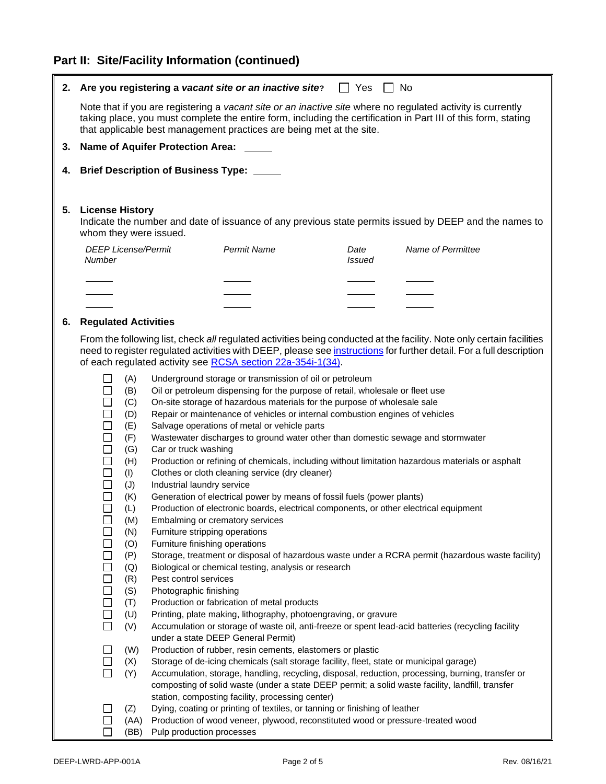## **Part II: Site/Facility Information (continued)**

| 2. | Are you registering a vacant site or an inactive site? $\Box$ Yes<br>∣ I No                                                                                                                                                                                                                                                                                                                                                                                                                                                                                                                                                                                                                                                                                                                                                                                                                                                                                                                                                                                                                                                                                                                                                                                                                                                                                                                                                                                                                                                                                                                                                                                                                                                                                                                                                                                                                                                     |                                                                                                              |                       |                   |  |  |  |
|----|---------------------------------------------------------------------------------------------------------------------------------------------------------------------------------------------------------------------------------------------------------------------------------------------------------------------------------------------------------------------------------------------------------------------------------------------------------------------------------------------------------------------------------------------------------------------------------------------------------------------------------------------------------------------------------------------------------------------------------------------------------------------------------------------------------------------------------------------------------------------------------------------------------------------------------------------------------------------------------------------------------------------------------------------------------------------------------------------------------------------------------------------------------------------------------------------------------------------------------------------------------------------------------------------------------------------------------------------------------------------------------------------------------------------------------------------------------------------------------------------------------------------------------------------------------------------------------------------------------------------------------------------------------------------------------------------------------------------------------------------------------------------------------------------------------------------------------------------------------------------------------------------------------------------------------|--------------------------------------------------------------------------------------------------------------|-----------------------|-------------------|--|--|--|
|    | Note that if you are registering a vacant site or an inactive site where no regulated activity is currently<br>taking place, you must complete the entire form, including the certification in Part III of this form, stating<br>that applicable best management practices are being met at the site.                                                                                                                                                                                                                                                                                                                                                                                                                                                                                                                                                                                                                                                                                                                                                                                                                                                                                                                                                                                                                                                                                                                                                                                                                                                                                                                                                                                                                                                                                                                                                                                                                           |                                                                                                              |                       |                   |  |  |  |
| 3. | Name of Aquifer Protection Area: _____                                                                                                                                                                                                                                                                                                                                                                                                                                                                                                                                                                                                                                                                                                                                                                                                                                                                                                                                                                                                                                                                                                                                                                                                                                                                                                                                                                                                                                                                                                                                                                                                                                                                                                                                                                                                                                                                                          |                                                                                                              |                       |                   |  |  |  |
| 4. | <b>Brief Description of Business Type:</b> _____                                                                                                                                                                                                                                                                                                                                                                                                                                                                                                                                                                                                                                                                                                                                                                                                                                                                                                                                                                                                                                                                                                                                                                                                                                                                                                                                                                                                                                                                                                                                                                                                                                                                                                                                                                                                                                                                                |                                                                                                              |                       |                   |  |  |  |
|    |                                                                                                                                                                                                                                                                                                                                                                                                                                                                                                                                                                                                                                                                                                                                                                                                                                                                                                                                                                                                                                                                                                                                                                                                                                                                                                                                                                                                                                                                                                                                                                                                                                                                                                                                                                                                                                                                                                                                 |                                                                                                              |                       |                   |  |  |  |
|    | 5. License History<br>Indicate the number and date of issuance of any previous state permits issued by DEEP and the names to<br>whom they were issued.                                                                                                                                                                                                                                                                                                                                                                                                                                                                                                                                                                                                                                                                                                                                                                                                                                                                                                                                                                                                                                                                                                                                                                                                                                                                                                                                                                                                                                                                                                                                                                                                                                                                                                                                                                          |                                                                                                              |                       |                   |  |  |  |
|    | <b>DEEP License/Permit</b><br>Number                                                                                                                                                                                                                                                                                                                                                                                                                                                                                                                                                                                                                                                                                                                                                                                                                                                                                                                                                                                                                                                                                                                                                                                                                                                                                                                                                                                                                                                                                                                                                                                                                                                                                                                                                                                                                                                                                            | <b>Permit Name</b>                                                                                           | Date<br><b>Issued</b> | Name of Permittee |  |  |  |
|    |                                                                                                                                                                                                                                                                                                                                                                                                                                                                                                                                                                                                                                                                                                                                                                                                                                                                                                                                                                                                                                                                                                                                                                                                                                                                                                                                                                                                                                                                                                                                                                                                                                                                                                                                                                                                                                                                                                                                 |                                                                                                              |                       |                   |  |  |  |
|    |                                                                                                                                                                                                                                                                                                                                                                                                                                                                                                                                                                                                                                                                                                                                                                                                                                                                                                                                                                                                                                                                                                                                                                                                                                                                                                                                                                                                                                                                                                                                                                                                                                                                                                                                                                                                                                                                                                                                 |                                                                                                              |                       |                   |  |  |  |
|    |                                                                                                                                                                                                                                                                                                                                                                                                                                                                                                                                                                                                                                                                                                                                                                                                                                                                                                                                                                                                                                                                                                                                                                                                                                                                                                                                                                                                                                                                                                                                                                                                                                                                                                                                                                                                                                                                                                                                 |                                                                                                              |                       |                   |  |  |  |
| 6. | <b>Regulated Activities</b>                                                                                                                                                                                                                                                                                                                                                                                                                                                                                                                                                                                                                                                                                                                                                                                                                                                                                                                                                                                                                                                                                                                                                                                                                                                                                                                                                                                                                                                                                                                                                                                                                                                                                                                                                                                                                                                                                                     |                                                                                                              |                       |                   |  |  |  |
|    | From the following list, check all regulated activities being conducted at the facility. Note only certain facilities<br>need to register regulated activities with DEEP, please see instructions for further detail. For a full description<br>of each regulated activity see RCSA section 22a-354i-1(34).<br>(A)<br>Underground storage or transmission of oil or petroleum<br>(B)<br>Oil or petroleum dispensing for the purpose of retail, wholesale or fleet use<br>$\Box$<br>On-site storage of hazardous materials for the purpose of wholesale sale<br>$\Box$<br>(C)<br>$\Box$<br>Repair or maintenance of vehicles or internal combustion engines of vehicles<br>(D)<br>$\Box$<br>Salvage operations of metal or vehicle parts<br>(E)<br>$\Box$<br>(F)<br>Wastewater discharges to ground water other than domestic sewage and stormwater<br>$\Box$<br>Car or truck washing<br>(G)<br>$\Box$<br>Production or refining of chemicals, including without limitation hazardous materials or asphalt<br>(H)<br>$\Box$<br>(I)<br>Clothes or cloth cleaning service (dry cleaner)<br>$\Box$<br>Industrial laundry service<br>(J)<br>$\Box$<br>(K)<br>Generation of electrical power by means of fossil fuels (power plants)<br>(L)<br>Production of electronic boards, electrical components, or other electrical equipment<br>$\Box$<br>(M)<br>Embalming or crematory services<br>$\Box$<br>(N)<br>Furniture stripping operations<br>$\Box$<br>(O)<br>Furniture finishing operations<br>$\Box$<br>(P)<br>Storage, treatment or disposal of hazardous waste under a RCRA permit (hazardous waste facility)<br>$\Box$<br>(Q)<br>Biological or chemical testing, analysis or research<br>$\Box$<br>(R)<br>Pest control services<br>$\Box$<br>(S)<br>Photographic finishing<br>$\Box$<br>(T)<br>Production or fabrication of metal products<br>$\Box$<br>(U)<br>Printing, plate making, lithography, photoengraving, or gravure |                                                                                                              |                       |                   |  |  |  |
|    | $\Box$<br>(V)<br>Accumulation or storage of waste oil, anti-freeze or spent lead-acid batteries (recycling facility<br>under a state DEEP General Permit)<br>(W)<br>Production of rubber, resin cements, elastomers or plastic<br>Storage of de-icing chemicals (salt storage facility, fleet, state or municipal garage)<br>(X)<br>(Y)<br>Accumulation, storage, handling, recycling, disposal, reduction, processing, burning, transfer or<br>composting of solid waste (under a state DEEP permit; a solid waste facility, landfill, transfer<br>station, composting facility, processing center)<br>Dying, coating or printing of textiles, or tanning or finishing of leather<br>(Z)                                                                                                                                                                                                                                                                                                                                                                                                                                                                                                                                                                                                                                                                                                                                                                                                                                                                                                                                                                                                                                                                                                                                                                                                                                       |                                                                                                              |                       |                   |  |  |  |
|    | (AA)<br>(BB)                                                                                                                                                                                                                                                                                                                                                                                                                                                                                                                                                                                                                                                                                                                                                                                                                                                                                                                                                                                                                                                                                                                                                                                                                                                                                                                                                                                                                                                                                                                                                                                                                                                                                                                                                                                                                                                                                                                    | Production of wood veneer, plywood, reconstituted wood or pressure-treated wood<br>Pulp production processes |                       |                   |  |  |  |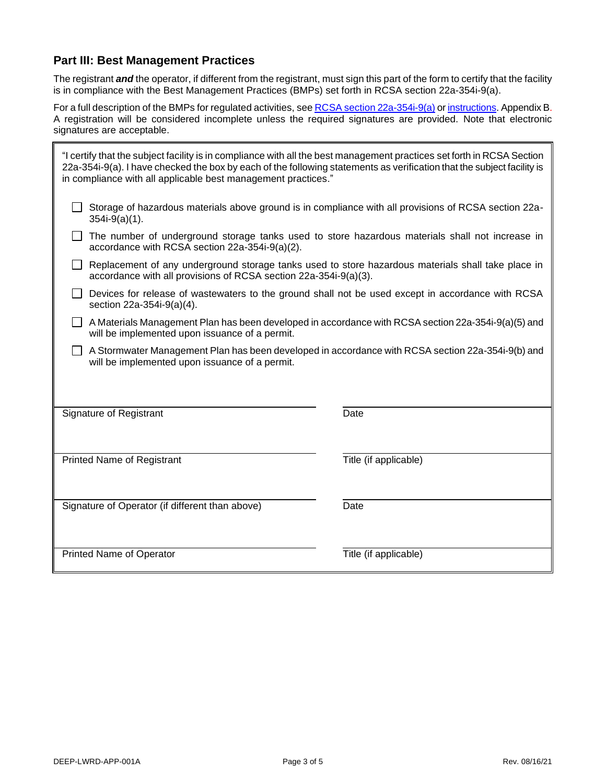### **Part III: Best Management Practices**

The registrant *and* the operator, if different from the registrant, must sign this part of the form to certify that the facility is in compliance with the Best Management Practices (BMPs) set forth in RCSA section 22a-354i-9(a).

For a full description of the BMPs for regulated activities, se[e RCSA section 22a-354i-9\(a\)](https://eregulations.ct.gov/eRegsPortal/Browse/RCSA/Title_22aSubtitle_22a-354iSection_22a-354i-9/) or [instructions.](https://portal.ct.gov/-/media/DEEP/Permits_and_Licenses/Land_Use_Permits/Aquifer_Protection_Permits/APAreginstpdf.pdf?la=en) Appendix B. A registration will be considered incomplete unless the required signatures are provided. Note that electronic signatures are acceptable.

| "I certify that the subject facility is in compliance with all the best management practices set forth in RCSA Section<br>22a-354i-9(a). I have checked the box by each of the following statements as verification that the subject facility is<br>in compliance with all applicable best management practices." |                       |  |  |  |  |
|-------------------------------------------------------------------------------------------------------------------------------------------------------------------------------------------------------------------------------------------------------------------------------------------------------------------|-----------------------|--|--|--|--|
| Storage of hazardous materials above ground is in compliance with all provisions of RCSA section 22a-<br>$354i-9(a)(1)$ .                                                                                                                                                                                         |                       |  |  |  |  |
| The number of underground storage tanks used to store hazardous materials shall not increase in<br>accordance with RCSA section 22a-354i-9(a)(2).                                                                                                                                                                 |                       |  |  |  |  |
| Replacement of any underground storage tanks used to store hazardous materials shall take place in<br>accordance with all provisions of RCSA section 22a-354i-9(a)(3).                                                                                                                                            |                       |  |  |  |  |
| Devices for release of wastewaters to the ground shall not be used except in accordance with RCSA<br>section 22a-354i-9(a)(4).                                                                                                                                                                                    |                       |  |  |  |  |
| A Materials Management Plan has been developed in accordance with RCSA section 22a-354i-9(a)(5) and<br>will be implemented upon issuance of a permit.                                                                                                                                                             |                       |  |  |  |  |
| A Stormwater Management Plan has been developed in accordance with RCSA section 22a-354i-9(b) and<br>will be implemented upon issuance of a permit.                                                                                                                                                               |                       |  |  |  |  |
| Signature of Registrant                                                                                                                                                                                                                                                                                           | Date                  |  |  |  |  |
|                                                                                                                                                                                                                                                                                                                   |                       |  |  |  |  |
| <b>Printed Name of Registrant</b>                                                                                                                                                                                                                                                                                 | Title (if applicable) |  |  |  |  |
| Signature of Operator (if different than above)                                                                                                                                                                                                                                                                   | Date                  |  |  |  |  |
| <b>Printed Name of Operator</b>                                                                                                                                                                                                                                                                                   | Title (if applicable) |  |  |  |  |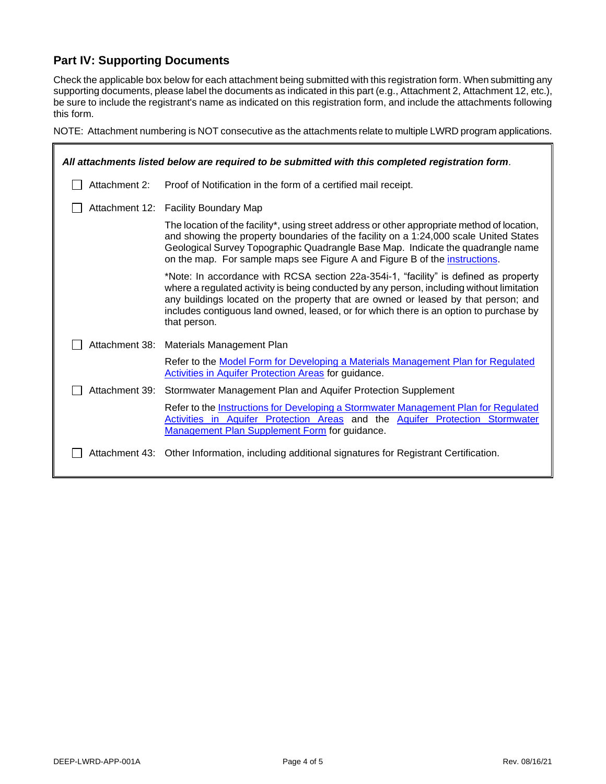### **Part IV: Supporting Documents**

Check the applicable box below for each attachment being submitted with this registration form. When submitting any supporting documents, please label the documents as indicated in this part (e.g., Attachment 2, Attachment 12, etc.), be sure to include the registrant's name as indicated on this registration form, and include the attachments following this form.

NOTE: Attachment numbering is NOT consecutive as the attachments relate to multiple LWRD program applications.

| All attachments listed below are required to be submitted with this completed registration form. |                                                                                                                                                                                                                                                                                                                                                                                   |  |  |  |  |  |  |
|--------------------------------------------------------------------------------------------------|-----------------------------------------------------------------------------------------------------------------------------------------------------------------------------------------------------------------------------------------------------------------------------------------------------------------------------------------------------------------------------------|--|--|--|--|--|--|
| Attachment 2:                                                                                    | Proof of Notification in the form of a certified mail receipt.                                                                                                                                                                                                                                                                                                                    |  |  |  |  |  |  |
|                                                                                                  | Attachment 12: Facility Boundary Map                                                                                                                                                                                                                                                                                                                                              |  |  |  |  |  |  |
|                                                                                                  | The location of the facility*, using street address or other appropriate method of location,<br>and showing the property boundaries of the facility on a 1:24,000 scale United States<br>Geological Survey Topographic Quadrangle Base Map. Indicate the quadrangle name<br>on the map. For sample maps see Figure A and Figure B of the instructions.                            |  |  |  |  |  |  |
|                                                                                                  | *Note: In accordance with RCSA section 22a-354i-1, "facility" is defined as property<br>where a regulated activity is being conducted by any person, including without limitation<br>any buildings located on the property that are owned or leased by that person; and<br>includes contiguous land owned, leased, or for which there is an option to purchase by<br>that person. |  |  |  |  |  |  |
|                                                                                                  | Attachment 38: Materials Management Plan                                                                                                                                                                                                                                                                                                                                          |  |  |  |  |  |  |
|                                                                                                  | Refer to the Model Form for Developing a Materials Management Plan for Regulated<br><b>Activities in Aquifer Protection Areas for guidance.</b>                                                                                                                                                                                                                                   |  |  |  |  |  |  |
| Attachment 39:                                                                                   | Stormwater Management Plan and Aquifer Protection Supplement                                                                                                                                                                                                                                                                                                                      |  |  |  |  |  |  |
|                                                                                                  | Refer to the Instructions for Developing a Stormwater Management Plan for Regulated<br>Activities in Aquifer Protection Areas and the Aquifer Protection Stormwater<br>Management Plan Supplement Form for guidance.                                                                                                                                                              |  |  |  |  |  |  |
|                                                                                                  | Attachment 43: Other Information, including additional signatures for Registrant Certification.                                                                                                                                                                                                                                                                                   |  |  |  |  |  |  |